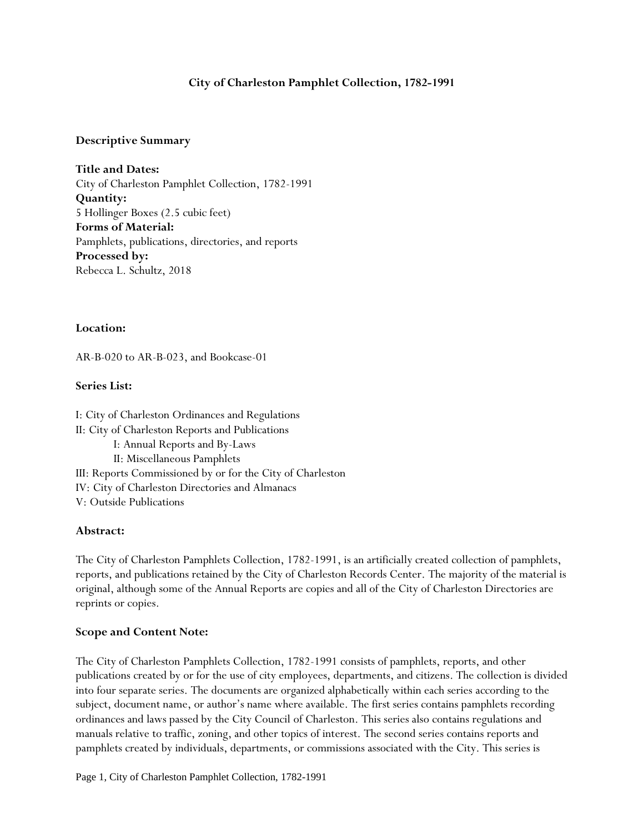# **City of Charleston Pamphlet Collection, 1782-1991**

### **Descriptive Summary**

**Title and Dates:** City of Charleston Pamphlet Collection, 1782-1991 **Quantity:**  5 Hollinger Boxes (2.5 cubic feet) **Forms of Material:** Pamphlets, publications, directories, and reports **Processed by:** Rebecca L. Schultz, 2018

### **Location:**

AR-B-020 to AR-B-023, and Bookcase-01

## **Series List:**

I: City of Charleston Ordinances and Regulations II: City of Charleston Reports and Publications I: Annual Reports and By-Laws II: Miscellaneous Pamphlets III: Reports Commissioned by or for the City of Charleston IV: City of Charleston Directories and Almanacs V: Outside Publications

# **Abstract:**

The City of Charleston Pamphlets Collection, 1782-1991, is an artificially created collection of pamphlets, reports, and publications retained by the City of Charleston Records Center. The majority of the material is original, although some of the Annual Reports are copies and all of the City of Charleston Directories are reprints or copies.

# **Scope and Content Note:**

The City of Charleston Pamphlets Collection, 1782-1991 consists of pamphlets, reports, and other publications created by or for the use of city employees, departments, and citizens. The collection is divided into four separate series. The documents are organized alphabetically within each series according to the subject, document name, or author's name where available. The first series contains pamphlets recording ordinances and laws passed by the City Council of Charleston. This series also contains regulations and manuals relative to traffic, zoning, and other topics of interest. The second series contains reports and pamphlets created by individuals, departments, or commissions associated with the City. This series is

Page 1, City of Charleston Pamphlet Collection, 1782-1991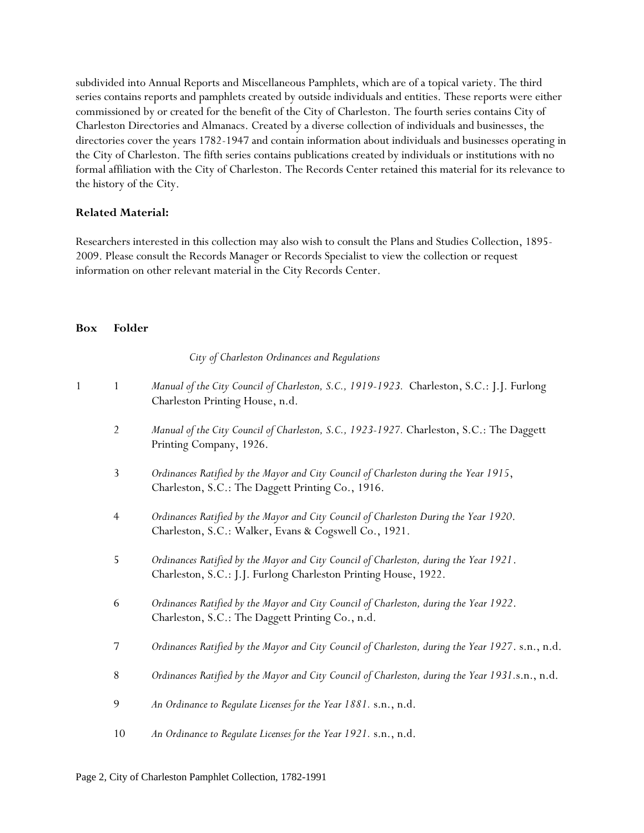subdivided into Annual Reports and Miscellaneous Pamphlets, which are of a topical variety. The third series contains reports and pamphlets created by outside individuals and entities. These reports were either commissioned by or created for the benefit of the City of Charleston. The fourth series contains City of Charleston Directories and Almanacs. Created by a diverse collection of individuals and businesses, the directories cover the years 1782-1947 and contain information about individuals and businesses operating in the City of Charleston. The fifth series contains publications created by individuals or institutions with no formal affiliation with the City of Charleston. The Records Center retained this material for its relevance to the history of the City.

## **Related Material:**

Researchers interested in this collection may also wish to consult the Plans and Studies Collection, 1895- 2009. Please consult the Records Manager or Records Specialist to view the collection or request information on other relevant material in the City Records Center.

### **Box Folder**

*City of Charleston Ordinances and Regulations*

- 1 1 *Manual of the City Council of Charleston, S.C., 1919-1923.* Charleston, S.C.: J.J. Furlong Charleston Printing House, n.d.
	- 2 *Manual of the City Council of Charleston, S.C., 1923-1927.* Charleston, S.C.: The Daggett Printing Company, 1926.
	- 3 *Ordinances Ratified by the Mayor and City Council of Charleston during the Year 1915*, Charleston, S.C.: The Daggett Printing Co., 1916.
	- 4 *Ordinances Ratified by the Mayor and City Council of Charleston During the Year 1920*. Charleston, S.C.: Walker, Evans & Cogswell Co., 1921.
	- 5 *Ordinances Ratified by the Mayor and City Council of Charleston, during the Year 1921*. Charleston, S.C.: J.J. Furlong Charleston Printing House, 1922.
	- 6 *Ordinances Ratified by the Mayor and City Council of Charleston, during the Year 1922*. Charleston, S.C.: The Daggett Printing Co., n.d.
	- 7 *Ordinances Ratified by the Mayor and City Council of Charleston, during the Year 1927*. s.n., n.d.
	- 8 *Ordinances Ratified by the Mayor and City Council of Charleston, during the Year 1931.*s.n., n.d.
	- 9 *An Ordinance to Regulate Licenses for the Year 1881.* s.n., n.d.
	- 10 *An Ordinance to Regulate Licenses for the Year 1921.* s.n., n.d.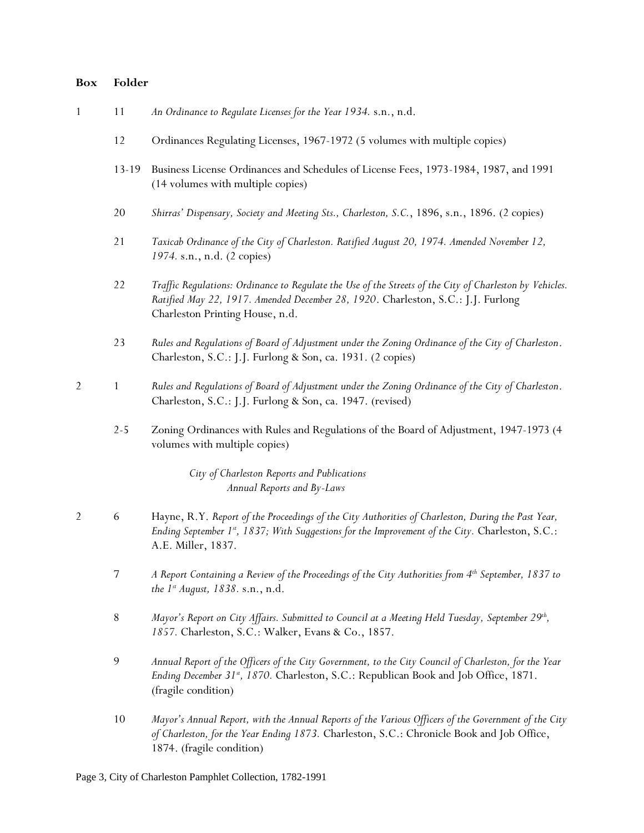|  | An Ordinance to Regulate Licenses for the Year 1934. s.n., n.d. |  |  |  |  |
|--|-----------------------------------------------------------------|--|--|--|--|
|--|-----------------------------------------------------------------|--|--|--|--|

- 12 Ordinances Regulating Licenses, 1967-1972 (5 volumes with multiple copies)
- 13-19 Business License Ordinances and Schedules of License Fees, 1973-1984, 1987, and 1991 (14 volumes with multiple copies)
- 20 *Shirras' Dispensary, Society and Meeting Sts., Charleston, S.C.*, 1896, s.n., 1896. (2 copies)
- 21 *Taxicab Ordinance of the City of Charleston. Ratified August 20, 1974. Amended November 12, 1974.* s.n., n.d. (2 copies)
- 22 *Traffic Regulations: Ordinance to Regulate the Use of the Streets of the City of Charleston by Vehicles. Ratified May 22, 1917. Amended December 28, 1920*. Charleston, S.C.: J.J. Furlong Charleston Printing House, n.d.
- 23 *Rules and Regulations of Board of Adjustment under the Zoning Ordinance of the City of Charleston*. Charleston, S.C.: J.J. Furlong & Son, ca. 1931. (2 copies)
- 2 1 *Rules and Regulations of Board of Adjustment under the Zoning Ordinance of the City of Charleston*. Charleston, S.C.: J.J. Furlong & Son, ca. 1947. (revised)
	- 2-5 Zoning Ordinances with Rules and Regulations of the Board of Adjustment, 1947-1973 (4 volumes with multiple copies)

*City of Charleston Reports and Publications Annual Reports and By-Laws*

- 2 6 Hayne, R.Y. *Report of the Proceedings of the City Authorities of Charleston, During the Past Year, Ending September 1st , 1837; With Suggestions for the Improvement of the City.* Charleston, S.C.: A.E. Miller, 1837.
	- 7 *A Report Containing a Review of the Proceedings of the City Authorities from 4th September, 1837 to the 1st August, 1838.* s.n., n.d.
	- 8 *Mayor's Report on City Affairs. Submitted to Council at a Meeting Held Tuesday, September 29th , 1857.* Charleston, S.C.: Walker, Evans & Co., 1857.
	- 9 *Annual Report of the Officers of the City Government, to the City Council of Charleston, for the Year Ending December 31st, 1870.* Charleston, S.C.: Republican Book and Job Office, 1871. (fragile condition)
	- 10 *Mayor's Annual Report, with the Annual Reports of the Various Officers of the Government of the City of Charleston, for the Year Ending 1873.* Charleston, S.C.: Chronicle Book and Job Office, 1874. (fragile condition)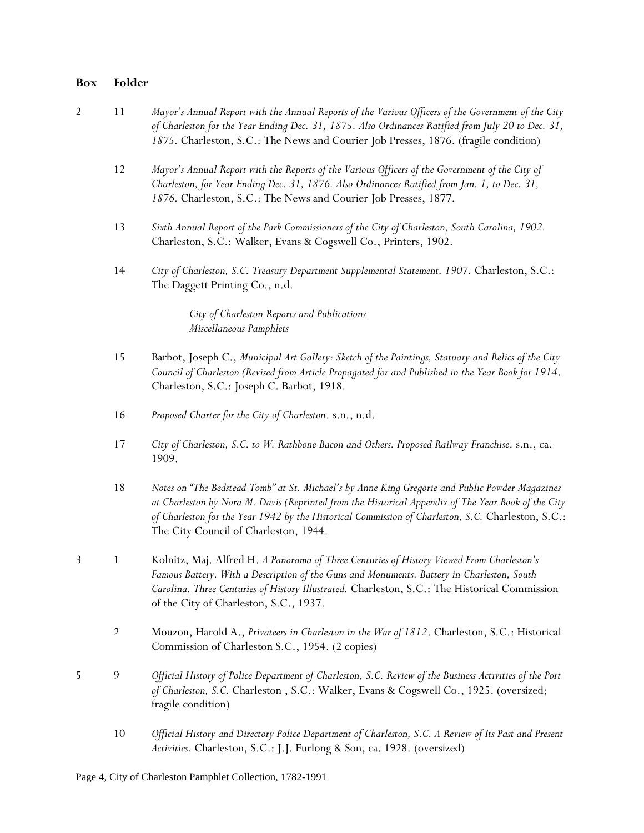| $\overline{2}$ | 11             | Mayor's Annual Report with the Annual Reports of the Various Officers of the Government of the City<br>of Charleston for the Year Ending Dec. 31, 1875. Also Ordinances Ratified from July 20 to Dec. 31,<br>1875. Charleston, S.C.: The News and Courier Job Presses, 1876. (fragile condition)                                                      |
|----------------|----------------|-------------------------------------------------------------------------------------------------------------------------------------------------------------------------------------------------------------------------------------------------------------------------------------------------------------------------------------------------------|
|                | 12             | Mayor's Annual Report with the Reports of the Various Officers of the Government of the City of<br>Charleston, for Year Ending Dec. 31, 1876. Also Ordinances Ratified from Jan. 1, to Dec. 31,<br>1876. Charleston, S.C.: The News and Courier Job Presses, 1877.                                                                                    |
|                | 13             | Sixth Annual Report of the Park Commissioners of the City of Charleston, South Carolina, 1902.<br>Charleston, S.C.: Walker, Evans & Cogswell Co., Printers, 1902.                                                                                                                                                                                     |
|                | 14             | City of Charleston, S.C. Treasury Department Supplemental Statement, 1907. Charleston, S.C.:<br>The Daggett Printing Co., n.d.                                                                                                                                                                                                                        |
|                |                | City of Charleston Reports and Publications<br>Miscellaneous Pamphlets                                                                                                                                                                                                                                                                                |
|                | 15             | Barbot, Joseph C., Municipal Art Gallery: Sketch of the Paintings, Statuary and Relics of the City<br>Council of Charleston (Revised from Article Propagated for and Published in the Year Book for 1914.<br>Charleston, S.C.: Joseph C. Barbot, 1918.                                                                                                |
|                | 16             | Proposed Charter for the City of Charleston. s.n., n.d.                                                                                                                                                                                                                                                                                               |
|                | 17             | City of Charleston, S.C. to W. Rathbone Bacon and Others. Proposed Railway Franchise. s.n., ca.<br>1909.                                                                                                                                                                                                                                              |
|                | 18             | Notes on "The Bedstead Tomb" at St. Michael's by Anne King Gregorie and Public Powder Magazines<br>at Charleston by Nora M. Davis (Reprinted from the Historical Appendix of The Year Book of the City<br>of Charleston for the Year 1942 by the Historical Commission of Charleston, S.C. Charleston, S.C.:<br>The City Council of Charleston, 1944. |
| 3              | $\mathbf{1}$   | Kolnitz, Maj. Alfred H. A Panorama of Three Centuries of History Viewed From Charleston's<br>Famous Battery. With a Description of the Guns and Monuments. Battery in Charleston, South<br>Carolina. Three Centuries of History Illustrated. Charleston, S.C.: The Historical Commission<br>of the City of Charleston, S.C., 1937.                    |
|                | $\overline{2}$ | Mouzon, Harold A., Privateers in Charleston in the War of 1812. Charleston, S.C.: Historical<br>Commission of Charleston S.C., 1954. (2 copies)                                                                                                                                                                                                       |
| 5              | 9              | Official History of Police Department of Charleston, S.C. Review of the Business Activities of the Port<br>of Charleston, S.C. Charleston, S.C.: Walker, Evans & Cogswell Co., 1925. (oversized;<br>fragile condition)                                                                                                                                |
|                | 10             | Official History and Directory Police Department of Charleston, S.C. A Review of Its Past and Present<br>Activities. Charleston, S.C.: J.J. Furlong & Son, ca. 1928. (oversized)                                                                                                                                                                      |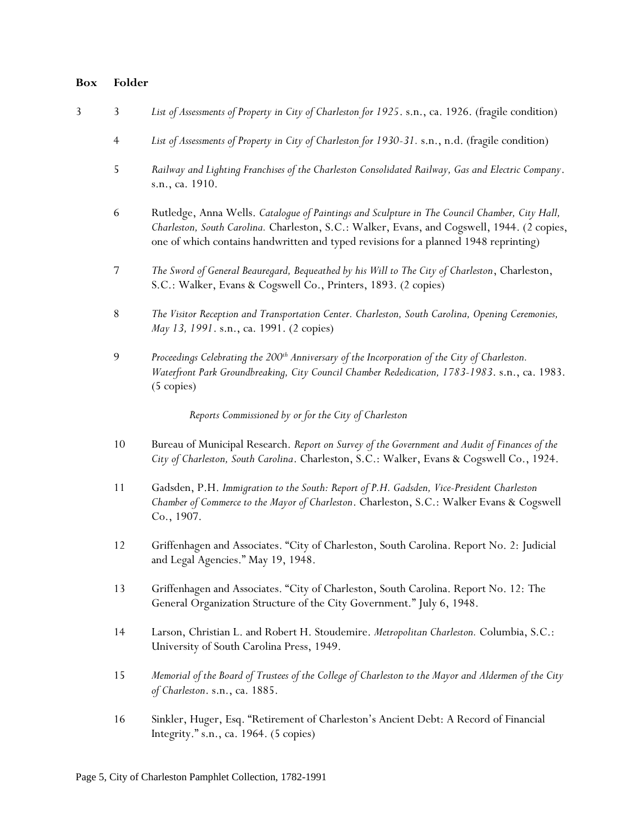- 3 3 *List of Assessments of Property in City of Charleston for 1925*. s.n., ca. 1926. (fragile condition)
	- 4 *List of Assessments of Property in City of Charleston for 1930-31.* s.n., n.d. (fragile condition)
	- 5 *Railway and Lighting Franchises of the Charleston Consolidated Railway, Gas and Electric Company*. s.n., ca. 1910.
	- 6 Rutledge, Anna Wells. *Catalogue of Paintings and Sculpture in The Council Chamber, City Hall, Charleston, South Carolina.* Charleston, S.C.: Walker, Evans, and Cogswell, 1944. (2 copies, one of which contains handwritten and typed revisions for a planned 1948 reprinting)
	- 7 *The Sword of General Beauregard, Bequeathed by his Will to The City of Charleston*, Charleston, S.C.: Walker, Evans & Cogswell Co., Printers, 1893. (2 copies)
	- 8 *The Visitor Reception and Transportation Center. Charleston, South Carolina, Opening Ceremonies, May 13, 1991*. s.n., ca. 1991. (2 copies)
	- 9 *Proceedings Celebrating the 200th Anniversary of the Incorporation of the City of Charleston. Waterfront Park Groundbreaking, City Council Chamber Rededication, 1783-1983*. s.n., ca. 1983. (5 copies)

*Reports Commissioned by or for the City of Charleston*

- 10 Bureau of Municipal Research. *Report on Survey of the Government and Audit of Finances of the City of Charleston, South Carolina*. Charleston, S.C.: Walker, Evans & Cogswell Co., 1924.
- 11 Gadsden, P.H. *Immigration to the South: Report of P.H. Gadsden, Vice-President Charleston Chamber of Commerce to the Mayor of Charleston*. Charleston, S.C.: Walker Evans & Cogswell Co., 1907.
- 12 Griffenhagen and Associates. "City of Charleston, South Carolina. Report No. 2: Judicial and Legal Agencies." May 19, 1948.
- 13 Griffenhagen and Associates. "City of Charleston, South Carolina. Report No. 12: The General Organization Structure of the City Government." July 6, 1948.
- 14 Larson, Christian L. and Robert H. Stoudemire. *Metropolitan Charleston.* Columbia, S.C.: University of South Carolina Press, 1949.
- 15 *Memorial of the Board of Trustees of the College of Charleston to the Mayor and Aldermen of the City of Charleston*. s.n., ca. 1885.
- 16 Sinkler, Huger, Esq. "Retirement of Charleston's Ancient Debt: A Record of Financial Integrity." s.n., ca. 1964. (5 copies)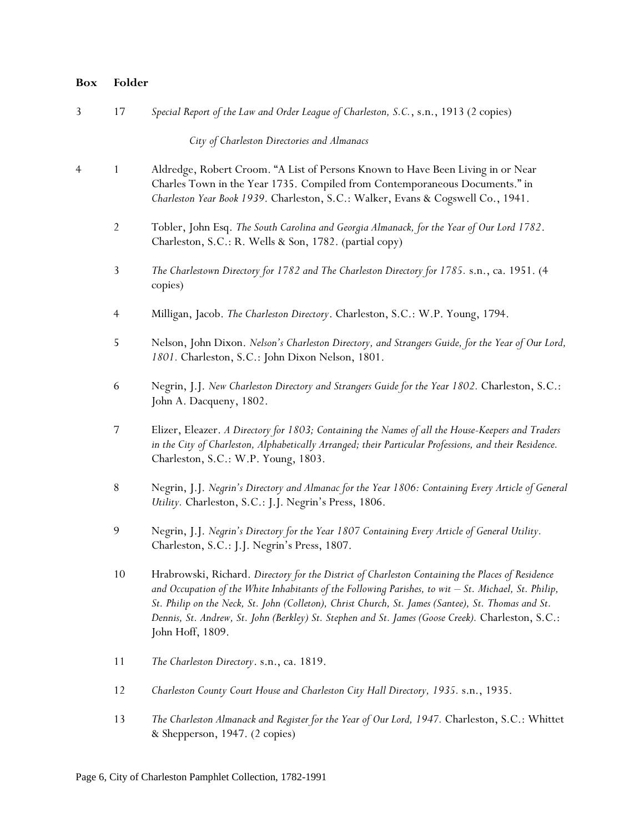| 3 | 17             | Special Report of the Law and Order League of Charleston, S.C., s.n., 1913 (2 copies)                                                                                                                                                                                                                                                                                                                                                     |
|---|----------------|-------------------------------------------------------------------------------------------------------------------------------------------------------------------------------------------------------------------------------------------------------------------------------------------------------------------------------------------------------------------------------------------------------------------------------------------|
|   |                | City of Charleston Directories and Almanacs                                                                                                                                                                                                                                                                                                                                                                                               |
| 4 | $\mathbf{1}$   | Aldredge, Robert Croom. "A List of Persons Known to Have Been Living in or Near<br>Charles Town in the Year 1735. Compiled from Contemporaneous Documents." in<br>Charleston Year Book 1939. Charleston, S.C.: Walker, Evans & Cogswell Co., 1941.                                                                                                                                                                                        |
|   | $\overline{2}$ | Tobler, John Esq. The South Carolina and Georgia Almanack, for the Year of Our Lord 1782.<br>Charleston, S.C.: R. Wells & Son, 1782. (partial copy)                                                                                                                                                                                                                                                                                       |
|   | 3              | The Charlestown Directory for 1782 and The Charleston Directory for 1785. s.n., ca. 1951. (4<br>copies)                                                                                                                                                                                                                                                                                                                                   |
|   | $\overline{4}$ | Milligan, Jacob. The Charleston Directory. Charleston, S.C.: W.P. Young, 1794.                                                                                                                                                                                                                                                                                                                                                            |
|   | 5              | Nelson, John Dixon. Nelson's Charleston Directory, and Strangers Guide, for the Year of Our Lord,<br>1801. Charleston, S.C.: John Dixon Nelson, 1801.                                                                                                                                                                                                                                                                                     |
|   | 6              | Negrin, J.J. New Charleston Directory and Strangers Guide for the Year 1802. Charleston, S.C.:<br>John A. Dacqueny, 1802.                                                                                                                                                                                                                                                                                                                 |
|   | 7              | Elizer, Eleazer. A Directory for 1803; Containing the Names of all the House-Keepers and Traders<br>in the City of Charleston, Alphabetically Arranged; their Particular Professions, and their Residence.<br>Charleston, S.C.: W.P. Young, 1803.                                                                                                                                                                                         |
|   | $8\,$          | Negrin, J.J. Negrin's Directory and Almanac for the Year 1806: Containing Every Article of General<br>Utility. Charleston, S.C.: J.J. Negrin's Press, 1806.                                                                                                                                                                                                                                                                               |
|   | 9              | Negrin, J.J. Negrin's Directory for the Year 1807 Containing Every Article of General Utility.<br>Charleston, S.C.: J.J. Negrin's Press, 1807.                                                                                                                                                                                                                                                                                            |
|   | 10             | Hrabrowski, Richard. Directory for the District of Charleston Containing the Places of Residence<br>and Occupation of the White Inhabitants of the Following Parishes, to wit $-$ St. Michael, St. Philip,<br>St. Philip on the Neck, St. John (Colleton), Christ Church, St. James (Santee), St. Thomas and St.<br>Dennis, St. Andrew, St. John (Berkley) St. Stephen and St. James (Goose Creek). Charleston, S.C.:<br>John Hoff, 1809. |
|   | 11             | The Charleston Directory. s.n., ca. 1819.                                                                                                                                                                                                                                                                                                                                                                                                 |
|   | 12             | Charleston County Court House and Charleston City Hall Directory, 1935. s.n., 1935.                                                                                                                                                                                                                                                                                                                                                       |
|   | 13             | The Charleston Almanack and Register for the Year of Our Lord, 1947. Charleston, S.C.: Whittet<br>& Shepperson, 1947. (2 copies)                                                                                                                                                                                                                                                                                                          |